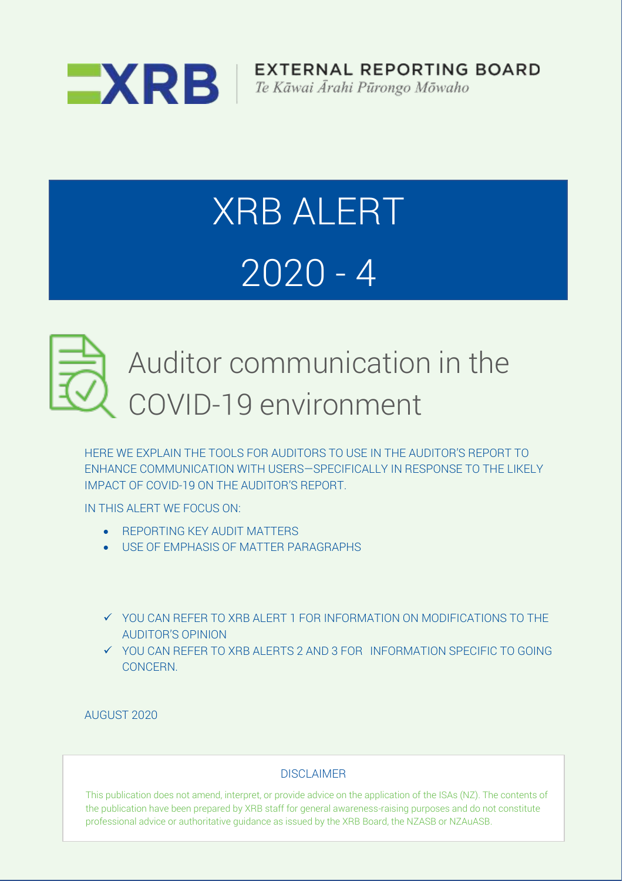

**EXTERNAL REPORTING BOARD** 

# XRB ALERT 2020 - 4



## Auditor communication in the COVID-19 environment

HERE WE EXPLAIN THE TOOLS FOR AUDITORS TO USE IN THE AUDITOR'S REPORT TO ENHANCE COMMUNICATION WITH USERS—SPECIFICALLY IN RESPONSE TO THE LIKELY IMPACT OF COVID-19 ON THE AUDITOR'S REPORT.

IN THIS ALERT WE FOCUS ON:

- REPORTING KEY AUDIT MATTERS
- USE OF EMPHASIS OF MATTER PARAGRAPHS
- ✓ YOU CAN REFER TO XRB ALERT 1 FOR INFORMATION ON MODIFICATIONS TO THE AUDITOR'S OPINION
- ✓ YOU CAN REFER TO XRB ALERTS 2 AND 3 FOR INFORMATION SPECIFIC TO GOING CONCERN.

AUGUST 2020

#### DISCLAIMER

This publication does not amend, interpret, or provide advice on the application of the ISAs (NZ). The contents of the publication have been prepared by XRB staff for general awareness-raising purposes and do not constitute professional advice or authoritative guidance as issued by the XRB Board, the NZASB or NZAuASB.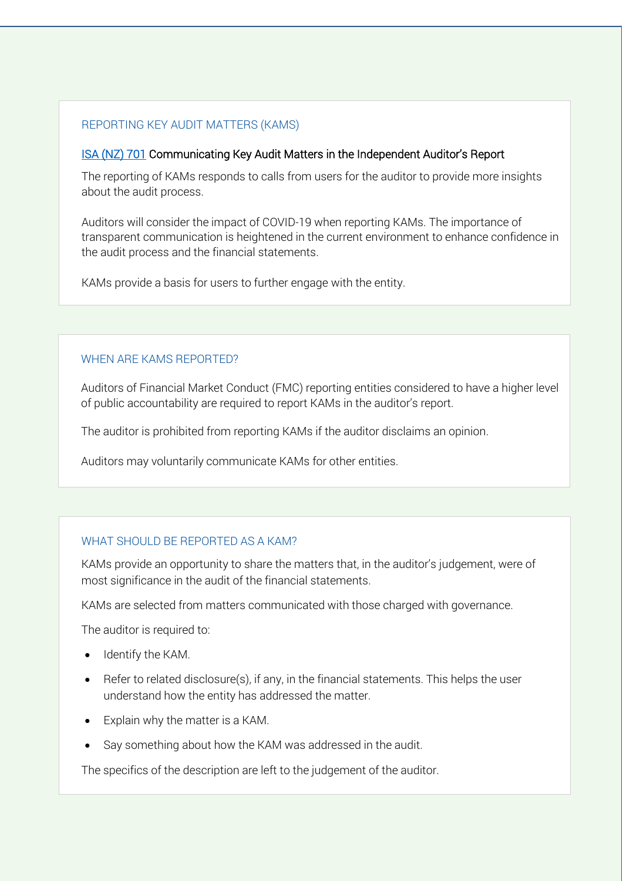#### REPORTING KEY AUDIT MATTERS (KAMS)

#### [ISA \(NZ\) 701](https://www.xrb.govt.nz/assurance-standards/auditing-standards/isa-nz-701/) Communicating Key Audit Matters in the Independent Auditor's Report

The reporting of KAMs responds to calls from users for the auditor to provide more insights about the audit process.

Auditors will consider the impact of COVID-19 when reporting KAMs. The importance of transparent communication is heightened in the current environment to enhance confidence in the audit process and the financial statements.

KAMs provide a basis for users to further engage with the entity.

#### WHEN ARE KAMS REPORTED?

Auditors of Financial Market Conduct (FMC) reporting entities considered to have a higher level of public accountability are required to report KAMs in the auditor's report.

The auditor is prohibited from reporting KAMs if the auditor disclaims an opinion.

Auditors may voluntarily communicate KAMs for other entities.

#### WHAT SHOULD BE REPORTED AS A KAM?

KAMs provide an opportunity to share the matters that, in the auditor's judgement, were of most significance in the audit of the financial statements.

KAMs are selected from matters communicated with those charged with governance.

The auditor is required to:

- Identify the KAM.
- Refer to related disclosure(s), if any, in the financial statements. This helps the user understand how the entity has addressed the matter.
- Explain why the matter is a KAM.
- Say something about how the KAM was addressed in the audit.

The specifics of the description are left to the judgement of the auditor.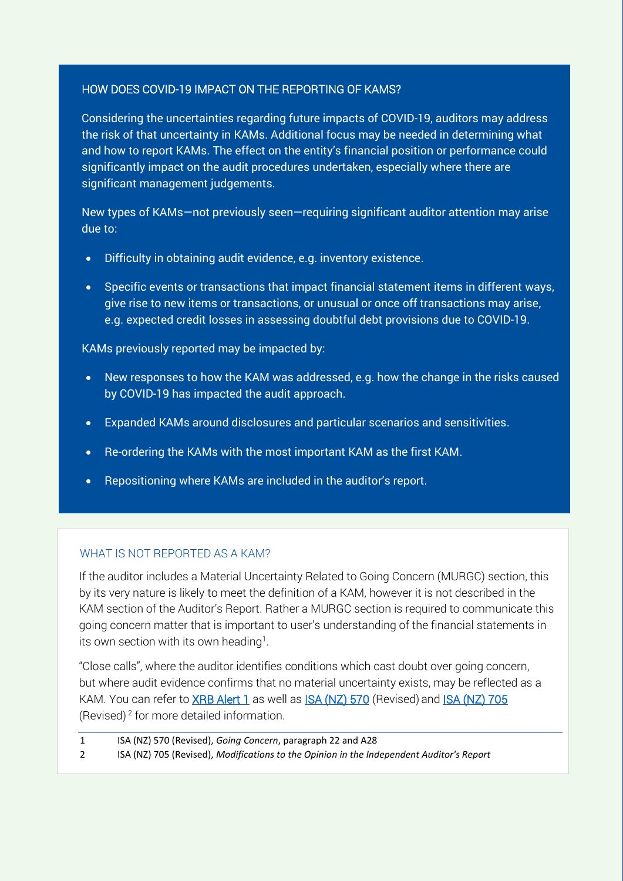#### HOW DOES COVID-19 IMPACT ON THE REPORTING OF KAMS?

Considering the uncertainties regarding future impacts of COVID-19, auditors may address the risk of that uncertainty in KAMs. Additional focus may be needed in determining what and how to report KAMs. The effect on the entity's financial position or performance could significantly impact on the audit procedures undertaken, especially where there are significant management judgements.

New types of KAMs—not previously seen—requiring significant auditor attention may arise due to:

- Difficulty in obtaining audit evidence, e.g. inventory existence.
- Specific events or transactions that impact financial statement items in different ways, give rise to new items or transactions, or unusual or once off transactions may arise, e.g. expected credit losses in assessing doubtful debt provisions due to COVID-19.

KAMs previously reported may be impacted by:

- New responses to how the KAM was addressed, e.g. how the change in the risks caused by COVID-19 has impacted the audit approach.
- Expanded KAMs around disclosures and particular scenarios and sensitivities.
- Re-ordering the KAMs with the most important KAM as the first KAM.
- Repositioning where KAMs are included in the auditor's report.

#### WHAT IS NOT REPORTED AS A KAM?

If the auditor includes a Material Uncertainty Related to Going Concern (MURGC) section, this by its very nature is likely to meet the definition of a KAM, however it is not described in the KAM section of the Auditor's Report. Rather a MURGC section is required to communicate this going concern matter that is important to user's understanding of the financial statements in its own section with its own heading<sup>1</sup>.

"Close calls", where the auditor identifies conditions which cast doubt over going concern, but where audit evidence confirms that no material uncertainty exists, may be reflected as a KAM. You can refer to **XRB Alert 1** as well as **ISA (NZ) 570** (Revised) and **ISA (NZ) 705** (Revised) <sup>2</sup> for more detailed information.

1 ISA (NZ) 570 (Revised), *Going Concern*, paragraph 22 and A28

2 ISA (NZ) 705 (Revised), *Modifications to the Opinion in the Independent Auditor's Report*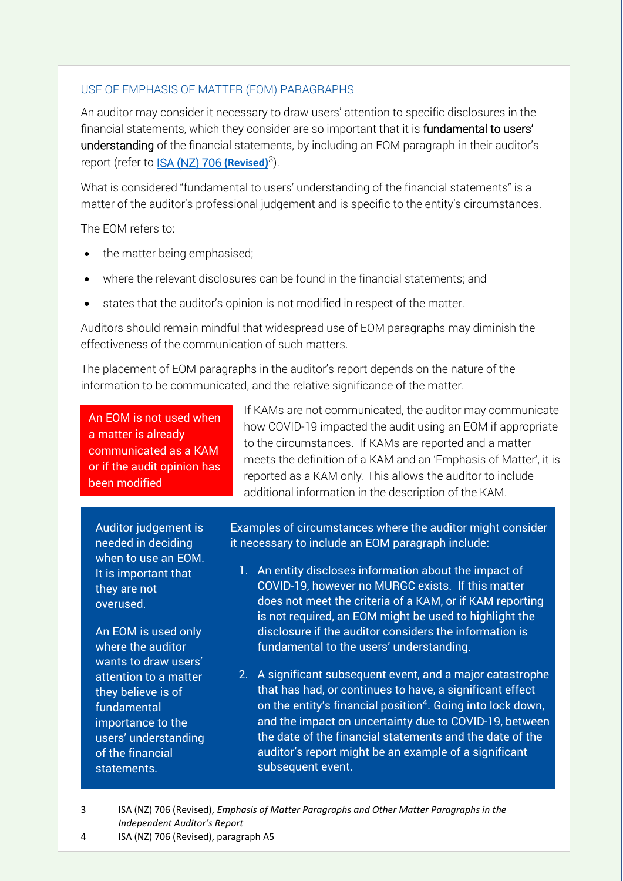#### USE OF EMPHASIS OF MATTER (EOM) PARAGRAPHS

An auditor may consider it necessary to draw users' attention to specific disclosures in the financial statements, which they consider are so important that it is fundamental to users' understanding of the financial statements, by including an EOM paragraph in their auditor's report (refer to **ISA (NZ) 706 (Revised)**<sup>3</sup>).

What is considered "fundamental to users' understanding of the financial statements" is a matter of the auditor's professional judgement and is specific to the entity's circumstances.

The EOM refers to:

- the matter being emphasised;
- where the relevant disclosures can be found in the financial statements; and
- states that the auditor's opinion is not modified in respect of the matter.

Auditors should remain mindful that widespread use of EOM paragraphs may diminish the effectiveness of the communication of such matters.

The placement of EOM paragraphs in the auditor's report depends on the nature of the information to be communicated, and the relative significance of the matter.

If KAMs are not communicated, the auditor may communicate An EOM is not used when a matter is already communicated as a KAM or if the audit opinion has been modified

Auditor judgement is needed in deciding when to use an EOM. It is important that they are not overused.

An EOM is used only where the auditor wants to draw users' attention to a matter they believe is of fundamental importance to the users' understanding of the financial statements.

how COVID-19 impacted the audit using an EOM if appropriate to the circumstances. If KAMs are reported and a matter meets the definition of a KAM and an 'Emphasis of Matter', it is reported as a KAM only. This allows the auditor to include additional information in the description of the KAM.

Examples of circumstances where the auditor might consider it necessary to include an EOM paragraph include:

- 1. An entity discloses information about the impact of COVID-19, however no MURGC exists. If this matter does not meet the criteria of a KAM, or if KAM reporting is not required, an EOM might be used to highlight the disclosure if the auditor considers the information is fundamental to the users' understanding.
- 2. A significant subsequent event, and a major catastrophe that has had, or continues to have, a significant effect on the entity's financial position<sup>4</sup>. Going into lock down, and the impact on uncertainty due to COVID-19, between the date of the financial statements and the date of the auditor's report might be an example of a significant subsequent event.
- 3 ISA (NZ) 706 (Revised), *Emphasis of Matter Paragraphs and Other Matter Paragraphs in the Independent Auditor's Report*

4 ISA (NZ) 706 (Revised), paragraph A5